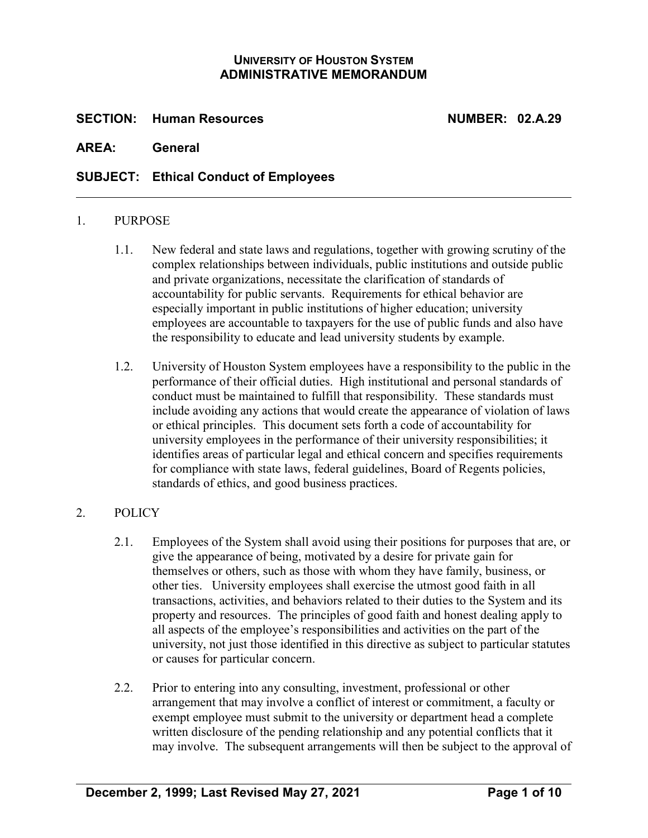### **UNIVERSITY OF HOUSTON SYSTEM ADMINISTRATIVE MEMORANDUM**

**SECTION: Human Resources NUMBER: 02.A.29**

**AREA: General**

## **SUBJECT: Ethical Conduct of Employees**

#### 1. PURPOSE

- 1.1. New federal and state laws and regulations, together with growing scrutiny of the complex relationships between individuals, public institutions and outside public and private organizations, necessitate the clarification of standards of accountability for public servants. Requirements for ethical behavior are especially important in public institutions of higher education; university employees are accountable to taxpayers for the use of public funds and also have the responsibility to educate and lead university students by example.
- 1.2. University of Houston System employees have a responsibility to the public in the performance of their official duties. High institutional and personal standards of conduct must be maintained to fulfill that responsibility. These standards must include avoiding any actions that would create the appearance of violation of laws or ethical principles. This document sets forth a code of accountability for university employees in the performance of their university responsibilities; it identifies areas of particular legal and ethical concern and specifies requirements for compliance with state laws, federal guidelines, Board of Regents policies, standards of ethics, and good business practices.

#### 2. POLICY

- 2.1. Employees of the System shall avoid using their positions for purposes that are, or give the appearance of being, motivated by a desire for private gain for themselves or others, such as those with whom they have family, business, or other ties. University employees shall exercise the utmost good faith in all transactions, activities, and behaviors related to their duties to the System and its property and resources. The principles of good faith and honest dealing apply to all aspects of the employee's responsibilities and activities on the part of the university, not just those identified in this directive as subject to particular statutes or causes for particular concern.
- 2.2. Prior to entering into any consulting, investment, professional or other arrangement that may involve a conflict of interest or commitment, a faculty or exempt employee must submit to the university or department head a complete written disclosure of the pending relationship and any potential conflicts that it may involve. The subsequent arrangements will then be subject to the approval of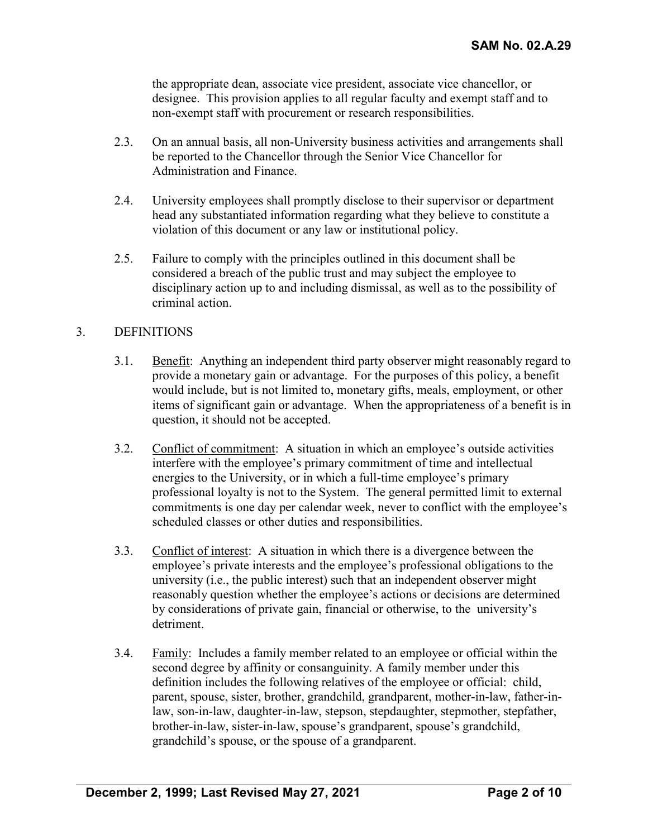the appropriate dean, associate vice president, associate vice chancellor, or designee. This provision applies to all regular faculty and exempt staff and to non-exempt staff with procurement or research responsibilities.

- 2.3. On an annual basis, all non-University business activities and arrangements shall be reported to the Chancellor through the Senior Vice Chancellor for Administration and Finance.
- 2.4. University employees shall promptly disclose to their supervisor or department head any substantiated information regarding what they believe to constitute a violation of this document or any law or institutional policy.
- 2.5. Failure to comply with the principles outlined in this document shall be considered a breach of the public trust and may subject the employee to disciplinary action up to and including dismissal, as well as to the possibility of criminal action.

### 3. DEFINITIONS

- 3.1. Benefit: Anything an independent third party observer might reasonably regard to provide a monetary gain or advantage. For the purposes of this policy, a benefit would include, but is not limited to, monetary gifts, meals, employment, or other items of significant gain or advantage. When the appropriateness of a benefit is in question, it should not be accepted.
- 3.2. Conflict of commitment: A situation in which an employee's outside activities interfere with the employee's primary commitment of time and intellectual energies to the University, or in which a full-time employee's primary professional loyalty is not to the System. The general permitted limit to external commitments is one day per calendar week, never to conflict with the employee's scheduled classes or other duties and responsibilities.
- 3.3. Conflict of interest: A situation in which there is a divergence between the employee's private interests and the employee's professional obligations to the university (i.e., the public interest) such that an independent observer might reasonably question whether the employee's actions or decisions are determined by considerations of private gain, financial or otherwise, to the university's detriment.
- 3.4. Family: Includes a family member related to an employee or official within the second degree by affinity or consanguinity. A family member under this definition includes the following relatives of the employee or official: child, parent, spouse, sister, brother, grandchild, grandparent, mother-in-law, father-inlaw, son-in-law, daughter-in-law, stepson, stepdaughter, stepmother, stepfather, brother-in-law, sister-in-law, spouse's grandparent, spouse's grandchild, grandchild's spouse, or the spouse of a grandparent.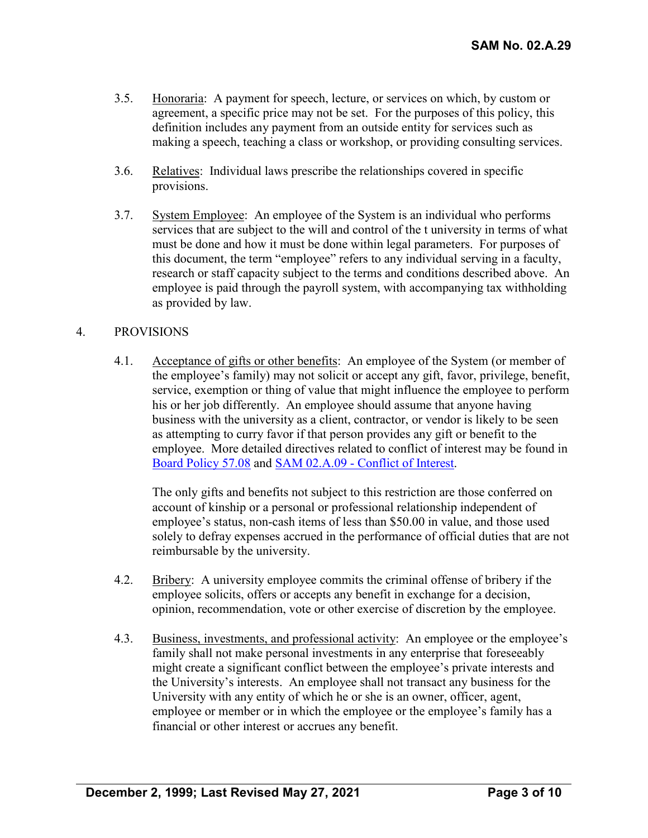- 3.5. Honoraria: A payment for speech, lecture, or services on which, by custom or agreement, a specific price may not be set. For the purposes of this policy, this definition includes any payment from an outside entity for services such as making a speech, teaching a class or workshop, or providing consulting services.
- 3.6. Relatives: Individual laws prescribe the relationships covered in specific provisions.
- 3.7. System Employee: An employee of the System is an individual who performs services that are subject to the will and control of the t university in terms of what must be done and how it must be done within legal parameters. For purposes of this document, the term "employee" refers to any individual serving in a faculty, research or staff capacity subject to the terms and conditions described above. An employee is paid through the payroll system, with accompanying tax withholding as provided by law.

### 4. PROVISIONS

4.1. Acceptance of gifts or other benefits: An employee of the System (or member of the employee's family) may not solicit or accept any gift, favor, privilege, benefit, service, exemption or thing of value that might influence the employee to perform his or her job differently. An employee should assume that anyone having business with the university as a client, contractor, or vendor is likely to be seen as attempting to curry favor if that person provides any gift or benefit to the employee. More detailed directives related to conflict of interest may be found in [Board Policy 57.08](http://www.uhsystem.edu/board-of-regents/policies/index.php#SectionVI) and SAM 02.A.09 - [Conflict of Interest.](http://www.uhsystem.edu/compliance-ethics/_docs/sam/02/2a9.pdf)

The only gifts and benefits not subject to this restriction are those conferred on account of kinship or a personal or professional relationship independent of employee's status, non-cash items of less than \$50.00 in value, and those used solely to defray expenses accrued in the performance of official duties that are not reimbursable by the university.

- 4.2. Bribery: A university employee commits the criminal offense of bribery if the employee solicits, offers or accepts any benefit in exchange for a decision, opinion, recommendation, vote or other exercise of discretion by the employee.
- 4.3. Business, investments, and professional activity: An employee or the employee's family shall not make personal investments in any enterprise that foreseeably might create a significant conflict between the employee's private interests and the University's interests. An employee shall not transact any business for the University with any entity of which he or she is an owner, officer, agent, employee or member or in which the employee or the employee's family has a financial or other interest or accrues any benefit.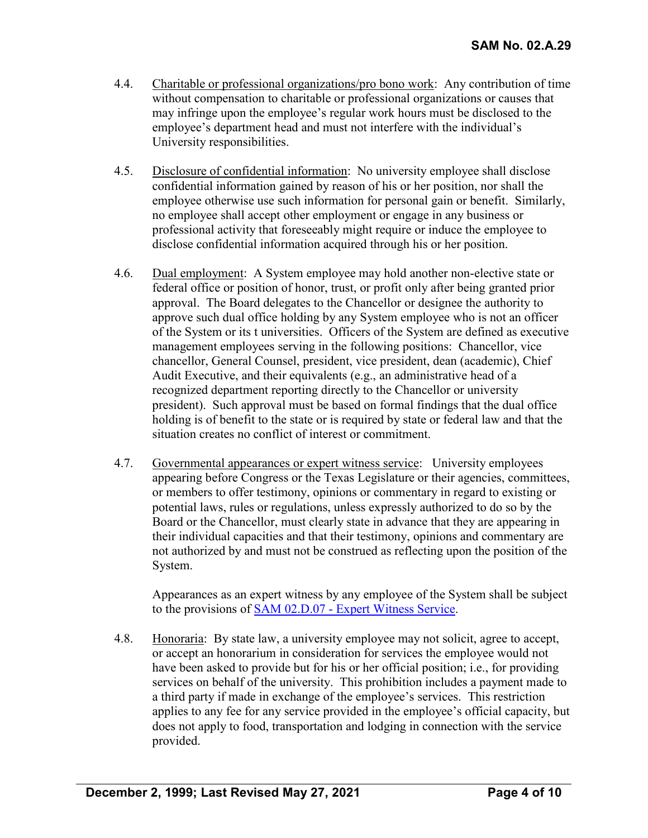- 4.4. Charitable or professional organizations/pro bono work: Any contribution of time without compensation to charitable or professional organizations or causes that may infringe upon the employee's regular work hours must be disclosed to the employee's department head and must not interfere with the individual's University responsibilities.
- 4.5. Disclosure of confidential information: No university employee shall disclose confidential information gained by reason of his or her position, nor shall the employee otherwise use such information for personal gain or benefit. Similarly, no employee shall accept other employment or engage in any business or professional activity that foreseeably might require or induce the employee to disclose confidential information acquired through his or her position.
- 4.6. Dual employment: A System employee may hold another non-elective state or federal office or position of honor, trust, or profit only after being granted prior approval. The Board delegates to the Chancellor or designee the authority to approve such dual office holding by any System employee who is not an officer of the System or its t universities. Officers of the System are defined as executive management employees serving in the following positions: Chancellor, vice chancellor, General Counsel, president, vice president, dean (academic), Chief Audit Executive, and their equivalents (e.g., an administrative head of a recognized department reporting directly to the Chancellor or university president). Such approval must be based on formal findings that the dual office holding is of benefit to the state or is required by state or federal law and that the situation creates no conflict of interest or commitment.
- 4.7. Governmental appearances or expert witness service: University employees appearing before Congress or the Texas Legislature or their agencies, committees, or members to offer testimony, opinions or commentary in regard to existing or potential laws, rules or regulations, unless expressly authorized to do so by the Board or the Chancellor, must clearly state in advance that they are appearing in their individual capacities and that their testimony, opinions and commentary are not authorized by and must not be construed as reflecting upon the position of the System.

Appearances as an expert witness by any employee of the System shall be subject to the provisions of **SAM 02.D.07** - [Expert Witness Service.](http://www.uhsystem.edu/compliance-ethics/_docs/sam/02/2d7.pdf)

4.8. Honoraria: By state law, a university employee may not solicit, agree to accept, or accept an honorarium in consideration for services the employee would not have been asked to provide but for his or her official position; i.e., for providing services on behalf of the university. This prohibition includes a payment made to a third party if made in exchange of the employee's services. This restriction applies to any fee for any service provided in the employee's official capacity, but does not apply to food, transportation and lodging in connection with the service provided.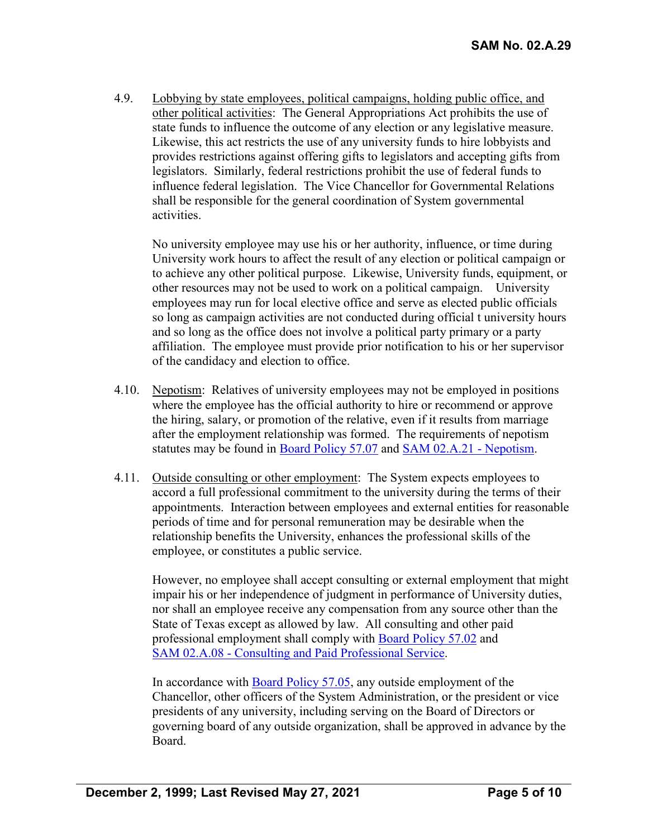4.9. Lobbying by state employees, political campaigns, holding public office, and other political activities: The General Appropriations Act prohibits the use of state funds to influence the outcome of any election or any legislative measure. Likewise, this act restricts the use of any university funds to hire lobbyists and provides restrictions against offering gifts to legislators and accepting gifts from legislators. Similarly, federal restrictions prohibit the use of federal funds to influence federal legislation. The Vice Chancellor for Governmental Relations shall be responsible for the general coordination of System governmental activities.

No university employee may use his or her authority, influence, or time during University work hours to affect the result of any election or political campaign or to achieve any other political purpose. Likewise, University funds, equipment, or other resources may not be used to work on a political campaign. University employees may run for local elective office and serve as elected public officials so long as campaign activities are not conducted during official t university hours and so long as the office does not involve a political party primary or a party affiliation. The employee must provide prior notification to his or her supervisor of the candidacy and election to office.

- 4.10. Nepotism: Relatives of university employees may not be employed in positions where the employee has the official authority to hire or recommend or approve the hiring, salary, or promotion of the relative, even if it results from marriage after the employment relationship was formed. The requirements of nepotism statutes may be found in [Board Policy 57.07](http://www.uhsystem.edu/board-of-regents/policies/index.php#SectionVI) and [SAM 02.A.21 -](http://www.uhsystem.edu/compliance-ethics/_docs/sam/02/2a21.pdf) Nepotism.
- 4.11. Outside consulting or other employment: The System expects employees to accord a full professional commitment to the university during the terms of their appointments. Interaction between employees and external entities for reasonable periods of time and for personal remuneration may be desirable when the relationship benefits the University, enhances the professional skills of the employee, or constitutes a public service.

However, no employee shall accept consulting or external employment that might impair his or her independence of judgment in performance of University duties, nor shall an employee receive any compensation from any source other than the State of Texas except as allowed by law. All consulting and other paid professional employment shall comply with [Board Policy 57.02](http://www.uhsystem.edu/board-of-regents/policies/index.php#SectionVI) and SAM 02.A.08 - [Consulting and Paid Professional Service.](http://www.uhsystem.edu/compliance-ethics/_docs/sam/02/2a8.pdf)

In accordance with [Board Policy 57.05,](http://www.uhsystem.edu/board-of-regents/policies/index.php#SectionVI) any outside employment of the Chancellor, other officers of the System Administration, or the president or vice presidents of any university, including serving on the Board of Directors or governing board of any outside organization, shall be approved in advance by the Board.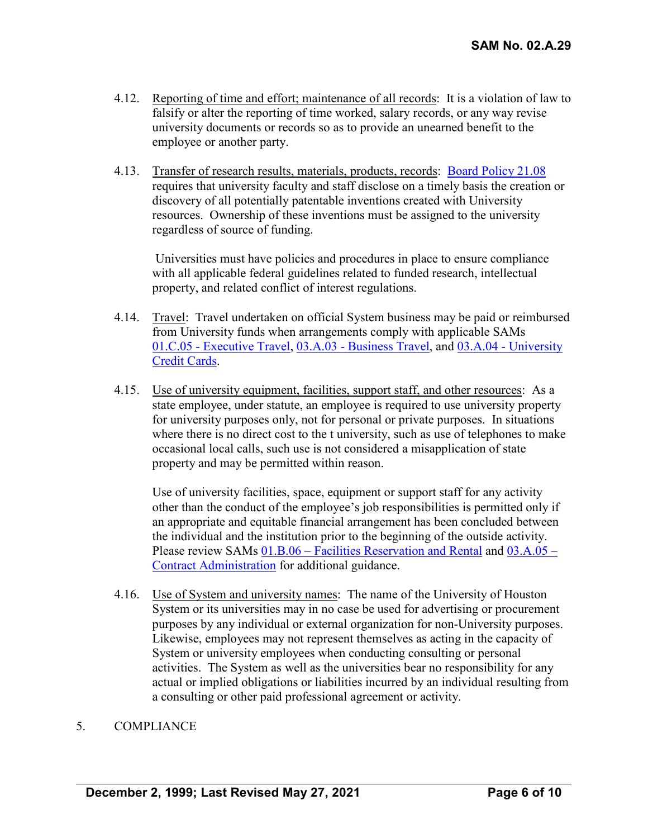- 4.12. Reporting of time and effort; maintenance of all records: It is a violation of law to falsify or alter the reporting of time worked, salary records, or any way revise university documents or records so as to provide an unearned benefit to the employee or another party.
- 4.13. Transfer of research results, materials, products, records: [Board Policy 21.08](http://www.uhsystem.edu/board-of-regents/policies/index.php#BOR%20Policies%20Section%20III) requires that university faculty and staff disclose on a timely basis the creation or discovery of all potentially patentable inventions created with University resources. Ownership of these inventions must be assigned to the university regardless of source of funding.

Universities must have policies and procedures in place to ensure compliance with all applicable federal guidelines related to funded research, intellectual property, and related conflict of interest regulations.

- 4.14. Travel: Travel undertaken on official System business may be paid or reimbursed from University funds when arrangements comply with applicable SAMs 01.C.05 - [Executive Travel,](http://www.uhsystem.edu/compliance-ethics/_docs/sam/01/1c5.pdf) 03.A.03 - [Business Travel,](http://www.uhsystem.edu/compliance-ethics/_docs/sam/03/3a3.pdf) and 03.A.04 - [University](http://www.uhsystem.edu/compliance-ethics/_docs/sam/03/3a4.pdf)  [Credit Cards.](http://www.uhsystem.edu/compliance-ethics/_docs/sam/03/3a4.pdf)
- 4.15. Use of university equipment, facilities, support staff, and other resources: As a state employee, under statute, an employee is required to use university property for university purposes only, not for personal or private purposes. In situations where there is no direct cost to the t university, such as use of telephones to make occasional local calls, such use is not considered a misapplication of state property and may be permitted within reason.

Use of university facilities, space, equipment or support staff for any activity other than the conduct of the employee's job responsibilities is permitted only if an appropriate and equitable financial arrangement has been concluded between the individual and the institution prior to the beginning of the outside activity. Please review SAMs 01.B.06 – [Facilities Reservation and Rental](http://www.uhsystem.edu/compliance-ethics/_docs/sam/01/1b6.pdf) and [03.A.05 –](http://www.uhsystem.edu/compliance-ethics/_docs/sam/03/3a5.pdf) Contract [Administration](http://www.uhsystem.edu/compliance-ethics/_docs/sam/03/3a5.pdf) for additional guidance.

4.16. Use of System and university names: The name of the University of Houston System or its universities may in no case be used for advertising or procurement purposes by any individual or external organization for non-University purposes. Likewise, employees may not represent themselves as acting in the capacity of System or university employees when conducting consulting or personal activities. The System as well as the universities bear no responsibility for any actual or implied obligations or liabilities incurred by an individual resulting from a consulting or other paid professional agreement or activity.

#### 5. COMPLIANCE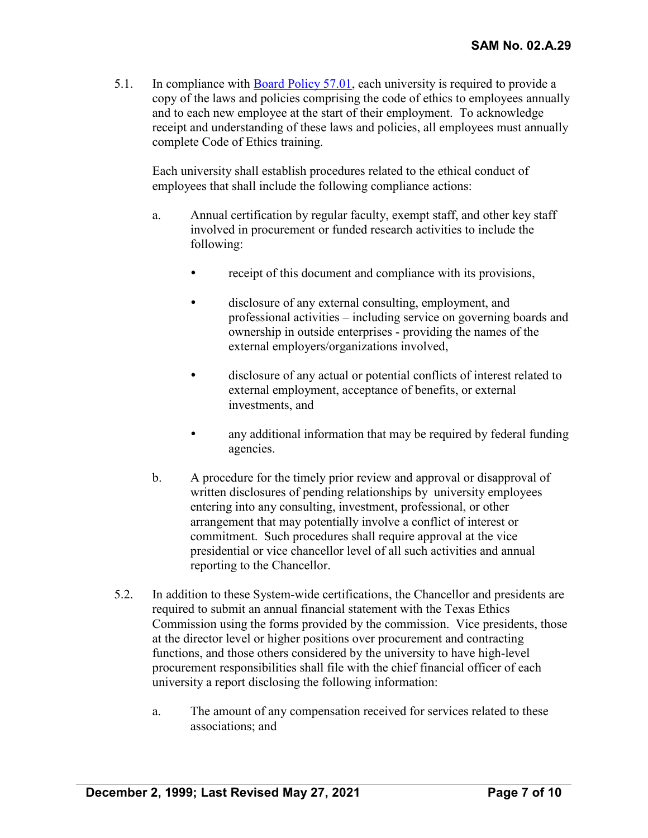5.1. In compliance with [Board Policy 57.01,](http://www.uhsystem.edu/board-of-regents/policies/index.php#SectionVI) each university is required to provide a copy of the laws and policies comprising the code of ethics to employees annually and to each new employee at the start of their employment. To acknowledge receipt and understanding of these laws and policies, all employees must annually complete Code of Ethics training.

Each university shall establish procedures related to the ethical conduct of employees that shall include the following compliance actions:

- a. Annual certification by regular faculty, exempt staff, and other key staff involved in procurement or funded research activities to include the following:
	- receipt of this document and compliance with its provisions,
	- disclosure of any external consulting, employment, and professional activities – including service on governing boards and ownership in outside enterprises - providing the names of the external employers/organizations involved,
	- disclosure of any actual or potential conflicts of interest related to external employment, acceptance of benefits, or external investments, and
	- any additional information that may be required by federal funding agencies.
- b. A procedure for the timely prior review and approval or disapproval of written disclosures of pending relationships by university employees entering into any consulting, investment, professional, or other arrangement that may potentially involve a conflict of interest or commitment. Such procedures shall require approval at the vice presidential or vice chancellor level of all such activities and annual reporting to the Chancellor.
- 5.2. In addition to these System-wide certifications, the Chancellor and presidents are required to submit an annual financial statement with the Texas Ethics Commission using the forms provided by the commission. Vice presidents, those at the director level or higher positions over procurement and contracting functions, and those others considered by the university to have high-level procurement responsibilities shall file with the chief financial officer of each university a report disclosing the following information:
	- a. The amount of any compensation received for services related to these associations; and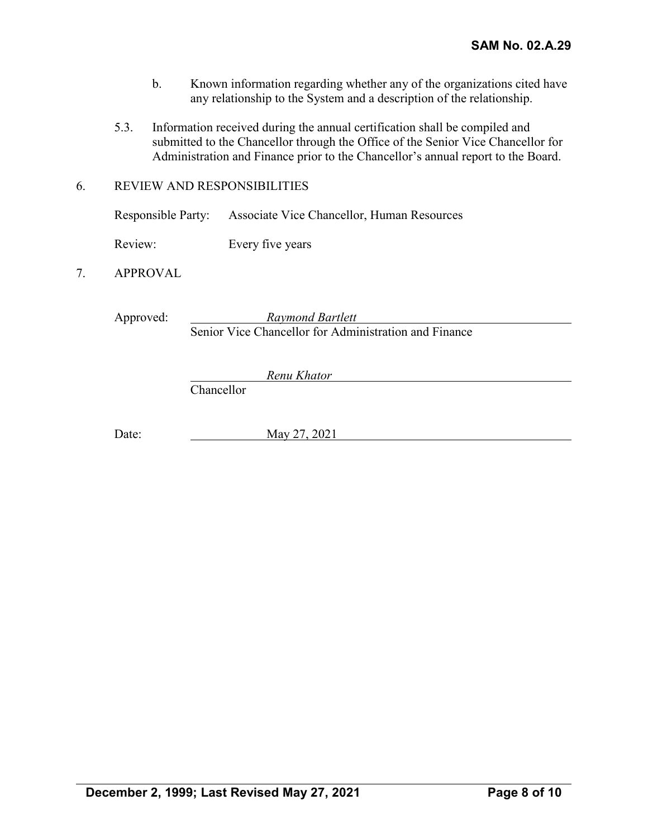- b. Known information regarding whether any of the organizations cited have any relationship to the System and a description of the relationship.
- 5.3. Information received during the annual certification shall be compiled and submitted to the Chancellor through the Office of the Senior Vice Chancellor for Administration and Finance prior to the Chancellor's annual report to the Board.

#### 6. REVIEW AND RESPONSIBILITIES

|         | Responsible Party: Associate Vice Chancellor, Human Resources |
|---------|---------------------------------------------------------------|
| Review: | Every five years                                              |

## 7. APPROVAL

Approved: *Raymond Bartlett* Senior Vice Chancellor for Administration and Finance

Chancellor

Date: May 27, 2021

*Renu Khator*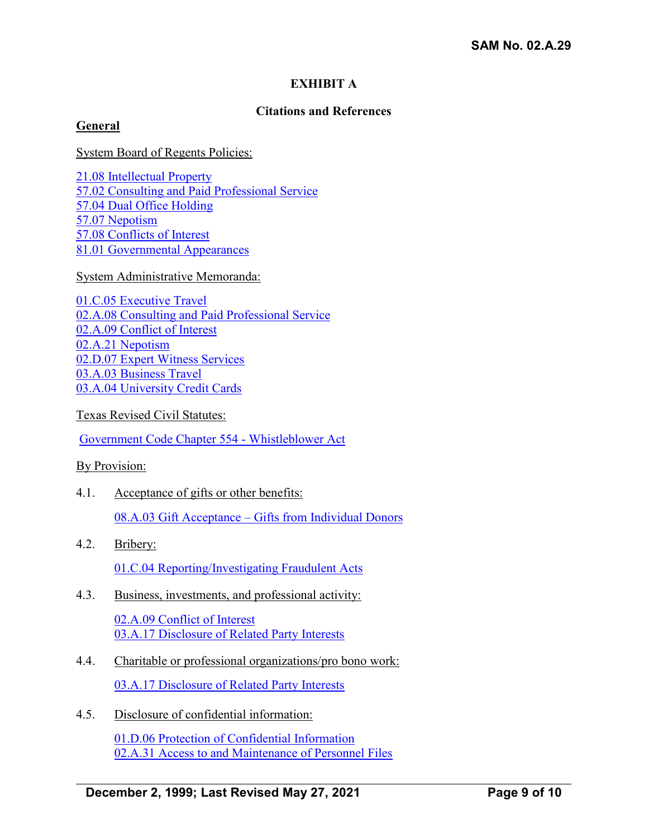## **EXHIBIT A**

### **Citations and References**

### **General**

System Board of Regents Policies:

[21.08 Intellectual Property](http://www.uhsystem.edu/board-of-regents/policies/index.php#BOR%20Policies%20Section%20III) [57.02 Consulting and Paid Professional Service](http://www.uhsystem.edu/board-of-regents/policies/index.php#SectionVI) 57.04 Dual [Office Holding](http://www.uhsystem.edu/board-of-regents/policies/index.php#SectionVI) 57.07 [Nepotism](http://www.uhsystem.edu/board-of-regents/policies/index.php#SectionVI) 57.08 [Conflicts of Interest](http://www.uhsystem.edu/board-of-regents/policies/index.php#SectionVI) [81.01 Governmental Appearances](http://www.uhsystem.edu/board-of-regents/policies/index.php#BOR%20Policies%20Section%20VIII)

System Administrative Memoranda:

[01.C.05 Executive Travel](http://www.uhsystem.edu/compliance-ethics/_docs/sam/01/1c5.pdf) 02.A.08 Consulting and [Paid Professional Service](http://www.uhsystem.edu/compliance-ethics/_docs/sam/02/2a8.pdf) [02.A.09 Conflict of Interest](http://www.uhsystem.edu/compliance-ethics/_docs/sam/02/2a9.pdf) [02.A.21 Nepotism](http://www.uhsystem.edu/compliance-ethics/_docs/sam/02/2a21.pdf) [02.D.07 Expert Witness Services](http://www.uhsystem.edu/compliance-ethics/_docs/sam/02/2d7.pdf) [03.A.03 Business Travel](http://www.uhsystem.edu/compliance-ethics/_docs/sam/03/3a3.pdf) [03.A.04 University Credit Cards](http://www.uhsystem.edu/compliance-ethics/_docs/sam/03/3a4.pdf)

Texas Revised Civil Statutes:

[Government Code Chapter 554 -](http://tlo2.tlc.state.tx.us/statutes/docs/GV/content/htm/gv.005.00.000554.00.htm#554.001.00) Whistleblower Act

By Provision:

- 4.1. Acceptance of gifts or other benefits: 08.A.03 Gift Acceptance – [Gifts from Individual Donors](http://www.uhsystem.edu/compliance-ethics/_docs/sam/08/8a3.pdf)
- 4.2. Bribery: [01.C.04 Reporting/Investigating Fraudulent Acts](http://www.uhsystem.edu/compliance-ethics/_docs/sam/01/1c4.pdf)
- 4.3. Business, investments, and professional activity:

[02.A.09 Conflict of Interest](http://www.uhsystem.edu/compliance-ethics/_docs/sam/02/2a9.pdf) [03.A.17 Disclosure of Related Party Interests](http://www.uhsystem.edu/compliance-ethics/_docs/sam/03/3a17.pdf)

- 4.4. Charitable or professional organizations/pro bono work: [03.A.17 Disclosure of Related Party Interests](http://www.uhsystem.edu/compliance-ethics/_docs/sam/03/3a17.pdf)
- 4.5. Disclosure of confidential information:

[01.D.06 Protection of Confidential Information](http://www.uhsystem.edu/compliance-ethics/_docs/sam/01/1d6.pdf) [02.A.31 Access to and Maintenance of Personnel Files](http://www.uhsystem.edu/compliance-ethics/_docs/sam/02/2a31.pdf)